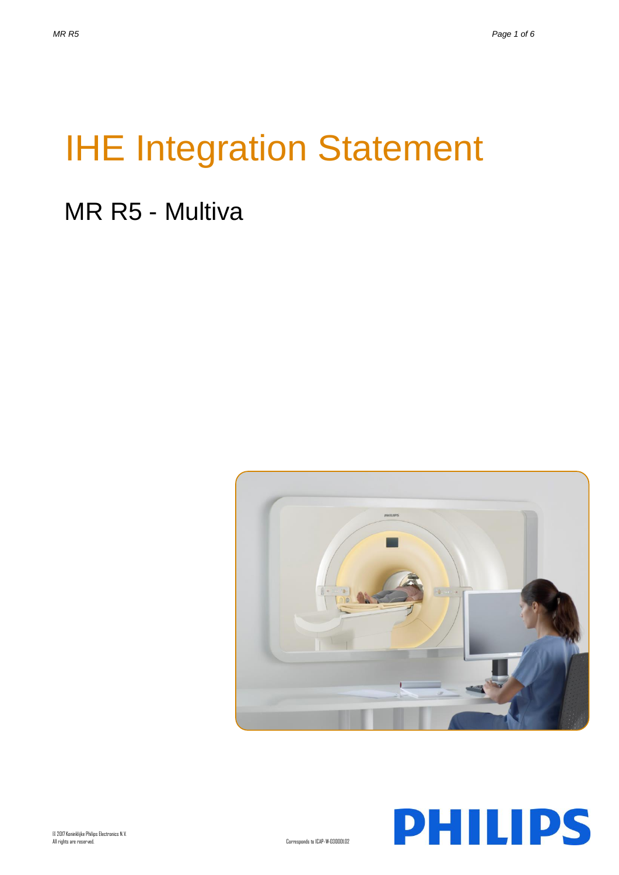# IHE Integration Statement

# MR R5 - Multiva



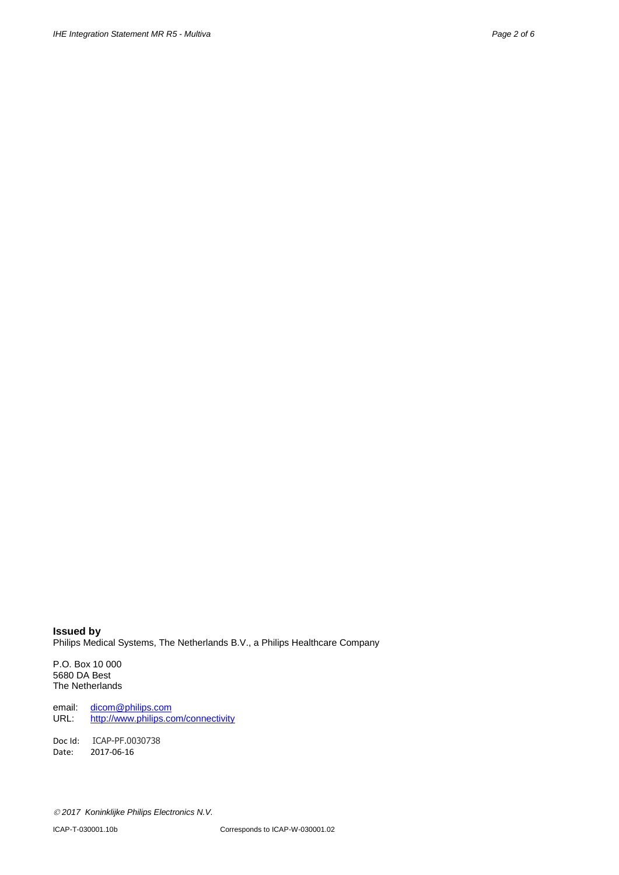**Issued by** Philips Medical Systems, The Netherlands B.V., a Philips Healthcare Company

P.O. Box 10 000 5680 DA Best The Netherlands

email: [dicom@philips.com](mailto:dicom@philips.com)<br>URL: http://www.philips.com <http://www.philips.com/connectivity>

Doc Id: ICAP-PF.0030738 Date: 2017-06-16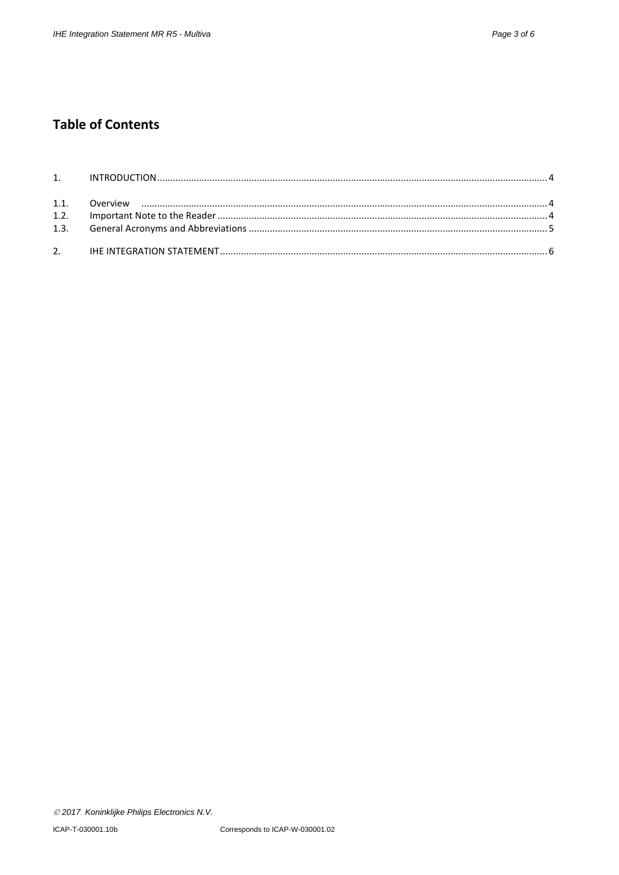## **Table of Contents**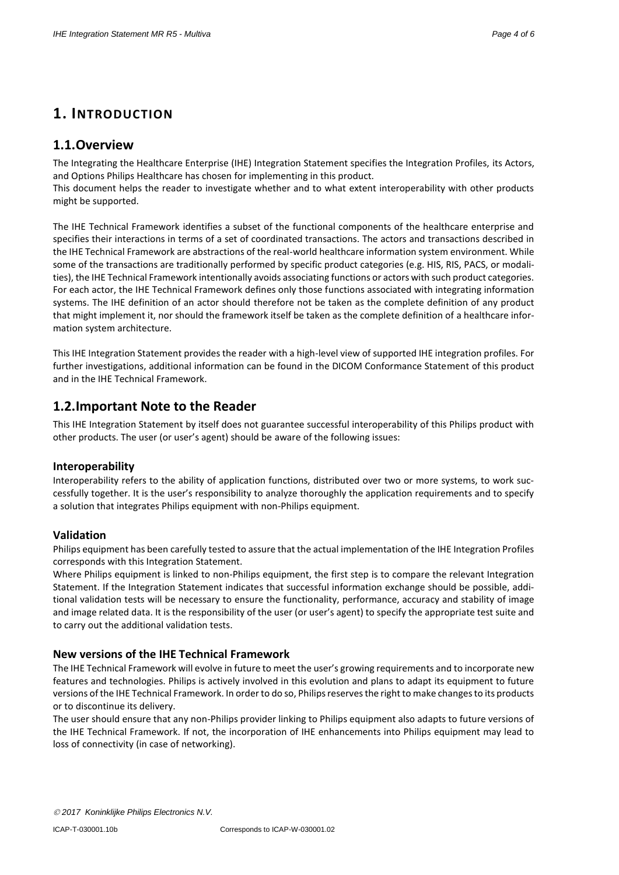### **1. INTRODUCTION**

#### **1.1.Overview**

The Integrating the Healthcare Enterprise (IHE) Integration Statement specifies the Integration Profiles, its Actors, and Options Philips Healthcare has chosen for implementing in this product.

This document helps the reader to investigate whether and to what extent interoperability with other products might be supported.

The IHE Technical Framework identifies a subset of the functional components of the healthcare enterprise and specifies their interactions in terms of a set of coordinated transactions. The actors and transactions described in the IHE Technical Framework are abstractions of the real-world healthcare information system environment. While some of the transactions are traditionally performed by specific product categories (e.g. HIS, RIS, PACS, or modalities), the IHE Technical Framework intentionally avoids associating functions or actors with such product categories. For each actor, the IHE Technical Framework defines only those functions associated with integrating information systems. The IHE definition of an actor should therefore not be taken as the complete definition of any product that might implement it, nor should the framework itself be taken as the complete definition of a healthcare information system architecture.

This IHE Integration Statement provides the reader with a high-level view of supported IHE integration profiles. For further investigations, additional information can be found in the DICOM Conformance Statement of this product and in the IHE Technical Framework.

#### **1.2.Important Note to the Reader**

This IHE Integration Statement by itself does not guarantee successful interoperability of this Philips product with other products. The user (or user's agent) should be aware of the following issues:

#### **Interoperability**

Interoperability refers to the ability of application functions, distributed over two or more systems, to work successfully together. It is the user's responsibility to analyze thoroughly the application requirements and to specify a solution that integrates Philips equipment with non-Philips equipment.

#### **Validation**

Philips equipment has been carefully tested to assure that the actual implementation of the IHE Integration Profiles corresponds with this Integration Statement.

Where Philips equipment is linked to non-Philips equipment, the first step is to compare the relevant Integration Statement. If the Integration Statement indicates that successful information exchange should be possible, additional validation tests will be necessary to ensure the functionality, performance, accuracy and stability of image and image related data. It is the responsibility of the user (or user's agent) to specify the appropriate test suite and to carry out the additional validation tests.

#### **New versions of the IHE Technical Framework**

The IHE Technical Framework will evolve in future to meet the user's growing requirements and to incorporate new features and technologies. Philips is actively involved in this evolution and plans to adapt its equipment to future versions of the IHE Technical Framework. In order to do so, Philips reserves the right to make changes to its products or to discontinue its delivery.

The user should ensure that any non-Philips provider linking to Philips equipment also adapts to future versions of the IHE Technical Framework. If not, the incorporation of IHE enhancements into Philips equipment may lead to loss of connectivity (in case of networking).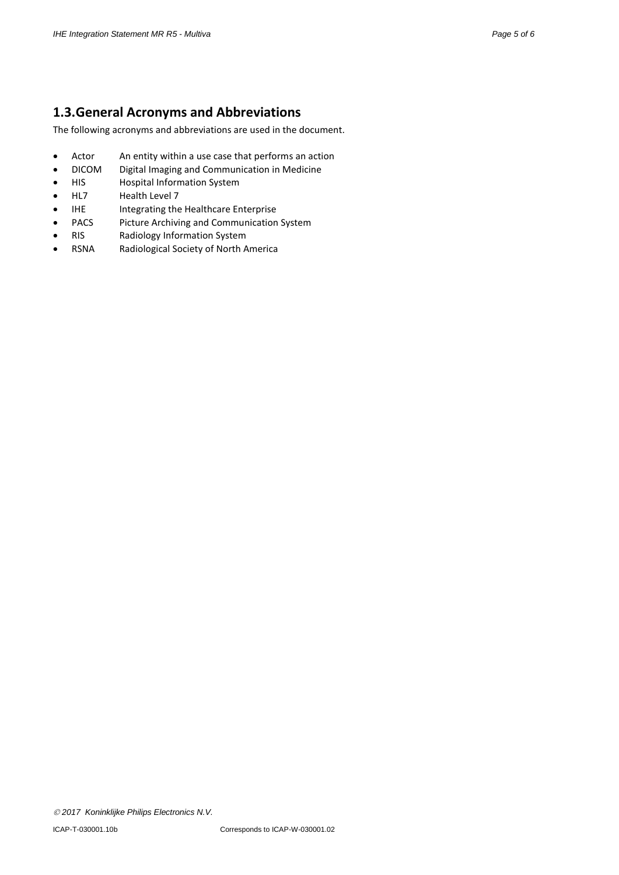#### **1.3.General Acronyms and Abbreviations**

The following acronyms and abbreviations are used in the document.

- Actor An entity within a use case that performs an action
- DICOM Digital Imaging and Communication in Medicine
- HIS Hospital Information System
- HL7 Health Level 7
- IHE Integrating the Healthcare Enterprise<br>PACS Picture Archiving and Communication
- Picture Archiving and Communication System
- RIS Radiology Information System
- RSNA Radiological Society of North America